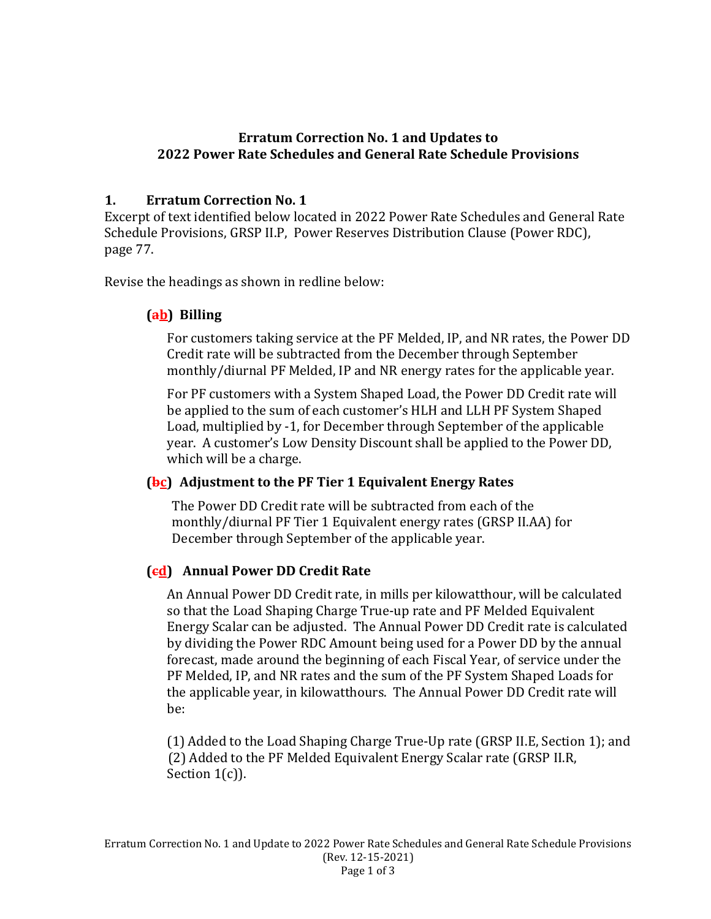#### **Erratum Correction No. 1 and Updates to 2022 Power Rate Schedules and General Rate Schedule Provisions**

## **1. Erratum Correction No. 1**

Excerpt of text identified below located in 2022 Power Rate Schedules and General Rate Schedule Provisions, GRSP II.P, Power Reserves Distribution Clause (Power RDC), page 77.

Revise the headings as shown in redline below:

## **(ab) Billing**

For customers taking service at the PF Melded, IP, and NR rates, the Power DD Credit rate will be subtracted from the December through September monthly/diurnal PF Melded, IP and NR energy rates for the applicable year.

For PF customers with a System Shaped Load, the Power DD Credit rate will be applied to the sum of each customer's HLH and LLH PF System Shaped Load, multiplied by -1, for December through September of the applicable year. A customer's Low Density Discount shall be applied to the Power DD, which will be a charge.

# **(bc) Adjustment to the PF Tier 1 Equivalent Energy Rates**

The Power DD Credit rate will be subtracted from each of the monthly/diurnal PF Tier 1 Equivalent energy rates (GRSP II.AA) for December through September of the applicable year.

# **(cd) Annual Power DD Credit Rate**

An Annual Power DD Credit rate, in mills per kilowatthour, will be calculated so that the Load Shaping Charge True-up rate and PF Melded Equivalent Energy Scalar can be adjusted. The Annual Power DD Credit rate is calculated by dividing the Power RDC Amount being used for a Power DD by the annual forecast, made around the beginning of each Fiscal Year, of service under the PF Melded, IP, and NR rates and the sum of the PF System Shaped Loads for the applicable year, in kilowatthours. The Annual Power DD Credit rate will be:

(1) Added to the Load Shaping Charge True-Up rate (GRSP II.E, Section 1); and (2) Added to the PF Melded Equivalent Energy Scalar rate (GRSP II.R, Section  $1(c)$ ).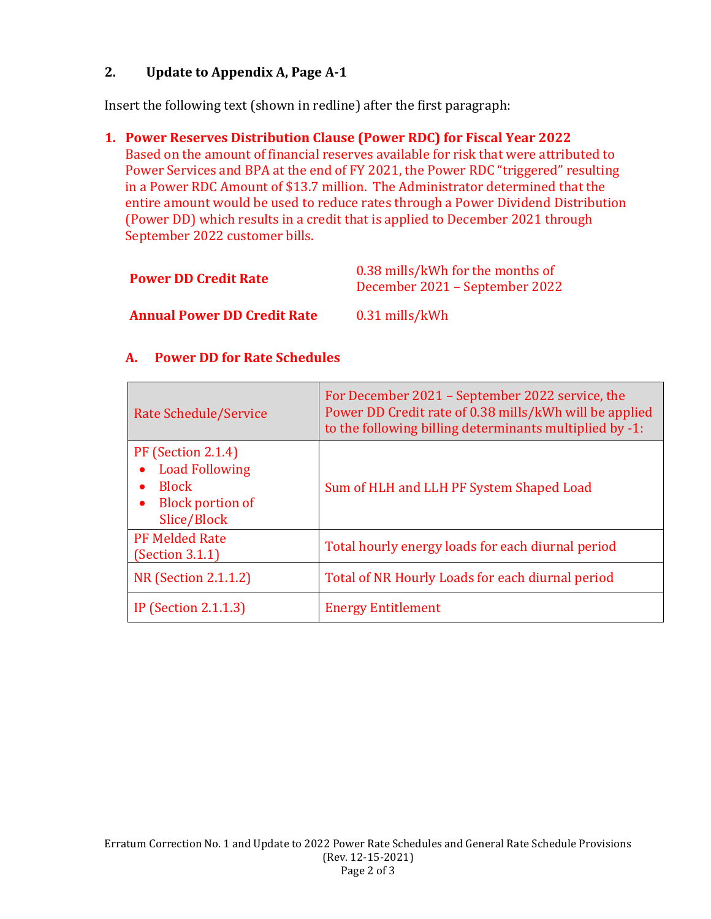#### **2. Update to Appendix A, Page A-1**

Insert the following text (shown in redline) after the first paragraph:

#### **1. Power Reserves Distribution Clause (Power RDC) for Fiscal Year 2022**

Based on the amount of financial reserves available for risk that were attributed to Power Services and BPA at the end of FY 2021, the Power RDC "triggered" resulting in a Power RDC Amount of \$13.7 million. The Administrator determined that the entire amount would be used to reduce rates through a Power Dividend Distribution (Power DD) which results in a credit that is applied to December 2021 through September 2022 customer bills.

| <b>Power DD Credit Rate</b>        | 0.38 mills/kWh for the months of<br>December 2021 – September 2022 |
|------------------------------------|--------------------------------------------------------------------|
| <b>Annual Power DD Credit Rate</b> | 0.31 mills/kWh                                                     |

#### **A. Power DD for Rate Schedules**

| <b>Rate Schedule/Service</b>                                                                                       | For December 2021 – September 2022 service, the<br>Power DD Credit rate of 0.38 mills/kWh will be applied<br>to the following billing determinants multiplied by -1: |
|--------------------------------------------------------------------------------------------------------------------|----------------------------------------------------------------------------------------------------------------------------------------------------------------------|
| PF (Section 2.1.4)<br><b>Load Following</b><br><b>Block</b><br><b>Block portion of</b><br>$\bullet$<br>Slice/Block | Sum of HLH and LLH PF System Shaped Load                                                                                                                             |
| <b>PF Melded Rate</b><br>(Section 3.1.1)                                                                           | Total hourly energy loads for each diurnal period                                                                                                                    |
| <b>NR</b> (Section 2.1.1.2)                                                                                        | Total of NR Hourly Loads for each diurnal period                                                                                                                     |
| <b>IP</b> (Section 2.1.1.3)                                                                                        | <b>Energy Entitlement</b>                                                                                                                                            |